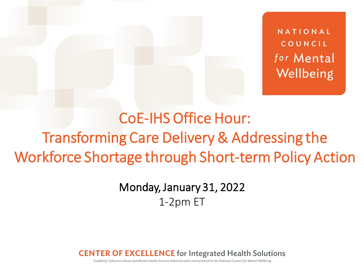NATIONAL COUNCIL for Mental Wellbeing

## CoE-IHS Office Hour: Transforming Care Delivery & Addressing the Workforce Shortage through Short-term Policy Action

### Monday, January 31, 2022 1-2pm ET

**CENTER OF EXCELLENCE** for Integrated Health Solutions

Funded by Substance Abuse and Mental Health Services Administration and operated by the National Council for Mental Wellbeing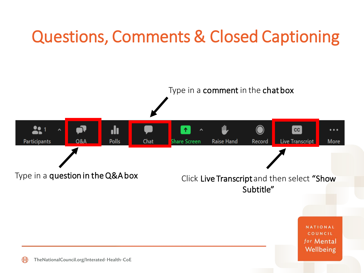## Questions, Comments & Closed Captioning

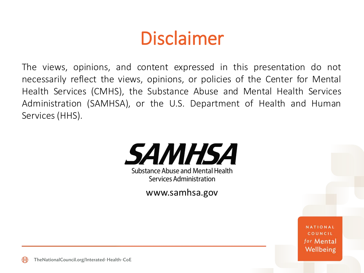## Disclaimer

The views, opinions, and content expressed in this presentation do not necessarily reflect the views, opinions, or policies of the Center for Mental Health Services (CMHS), the Substance Abuse and Mental Health Services Administration (SAMHSA), or the U.S. Department of Health and Human Services(HHS).



www.samhsa.gov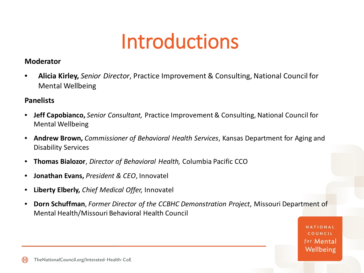# Introductions

#### **Moderator**

• **Alicia Kirley,** *Senior Director*, Practice Improvement & Consulting, National Council for Mental Wellbeing

#### **Panelists**

- **Jeff Capobianco,** *Senior Consultant,* Practice Improvement & Consulting, National Council for Mental Wellbeing
- **Andrew Brown,** *Commissioner of Behavioral Health Services*, Kansas Department for Aging and Disability Services
- **Thomas Bialozor**, *Director of Behavioral Health,* Columbia Pacific CCO
- **Jonathan Evans,** *President & CEO*, Innovatel
- **Liberty Elberly,** *Chief Medical Offer,* Innovatel
- **Dorn Schuffman**, *Former Director of the CCBHC Demonstration Project*, Missouri Department of Mental Health/Missouri Behavioral Health Council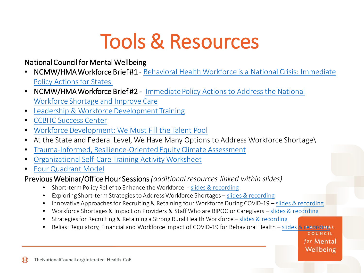# Tools & Resources

#### National Council for Mental Wellbeing

- NCMW/HMA Workforce Brief #1 [Behavioral Health Workforce is a National Crisis: Immediate](https://www.thenationalcouncil.org/wp-content/uploads/2021/10/Behavioral-Health-Workforce-is-a-National-Crisis.pdf?daf=375ateTbd56)  Policy Actions for States
- NCMW/HMA Workforce Brief#2 Immediate Policy Actions to Address the National Workforce Shortage and Improve Care
- [Leadership & Workforce Development Training](https://www.thenationalcouncil.org/areas-of-expertise/leadership-and-workforce-development/)
- [CCBHC Success Center](https://www.thenationalcouncil.org/ccbhc-success-center/ccbhcta-overview/)
- [Workforce Development: We Must Fill the Talent Pool](https://www.thenationalcouncil.org/BH365/2021/02/25/workforce-development-we-must-fill-the-talent-pool/)
- At the State and Federal Level, We Have Many Options to Address Workforce Shortage\
- [Trauma-Informed, Resilience-Oriented Equity Climate Assessment](https://www.thenationalcouncil.org/wp-content/uploads/2020/08/TI-ROC-Cultural-Humility-Scale-FINAL.pdf?daf=375ateTbd56)
- [Organizational Self-Care Training Activity Worksheet](https://www.thenationalcouncil.org/wp-content/uploads/2021/02/Organizational-Self-Care-Training-Activity-Worksheet-FINAL.pdf)
- [Four Quadrant Model](https://www.thenationalcouncil.org/wp-content/uploads/2018/11/BehavioralHealthandPrimaryCareIntegrationandthePCMH-2009-1.pdf?daf=375ateTbd56#:%7E:text=The%20Four%20Quadrant%20Model%20describes%20the%20need%20for,well%20developed%2C%20most%20notably%20the%20IMPACT%20model.%20)

#### Previous Webinar/Office Hour Sessions *(additional resources linked within slides)*

- Short-term Policy Relief to Enhance the Workforce [slides & recording](https://www.thenationalcouncil.org/webinars/coe-office-hour-short-term-policy-relief-for-enhancing-the-workforce/)
- Exploring Short-term Strategies to Address Workforce Shortages [slides & recording](https://www.thenationalcouncil.org/webinars/coe-office-hour-exploring-challenges-strategies-for-impacting-workforce-shortages/)
- Innovative Approaches for Recruiting & Retaining Your Workforce During COVID-19 [slides & recording](https://www.thenationalcouncil.org/webinars/innovative-approaches-for-recruiting-and-retaining-your-workforce-during-covid-19/)
- Workforce Shortages & Impact on Providers & Staff Who are BIPOC or Caregivers [slides & recording](https://www.thenationalcouncil.org/webinars/coe-office-hour-workforce-shortage-impact-on-providers-who-are-black-indigenous-and-persons-of-color/)
- Strategies for Recruiting & Retaining a Strong Rural Health Workforce [slides & recording](https://www.thenationalcouncil.org/webinars/rural-health-strategies-for-recruiting-and-retaining-a-strong-rural-health-workforce/)
- Relias: Regulatory, Financial and Workforce Impact of COVID-19 for Behavioral Health [slides & recording](https://www.thenationalcouncil.org/webinars/relias-regulatory-financial-and-workforce-impact-of-covid-19-for-behavioral-health/)

for Mental Wellbeing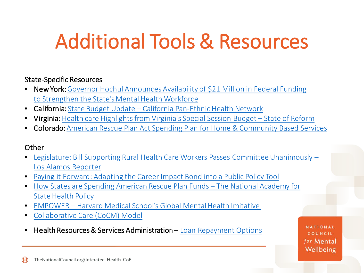# Additional Tools & Resources

#### State-Specific Resources

- New York: Governor Hochul [Announces Availability of \\$21 Million in Federal Funding](https://www.governor.ny.gov/news/governor-hochul-announces-availability-21-million-federal-funding-strengthen-states-mental) to Strengthen the State's Mental Health Workforce
- California: State Budget Update [California Pan-Ethnic Health Network](https://cpehn.org/what-we-do-2/state-budget-update/)
- Virginia: Health care Highlights from Virginia's Special Session Budget State of Reform
- Colorado: [American Rescue Plan Act Spending Plan for Home & Community Based Services](https://hcpf.colorado.gov/sites/hcpf/files/FY%202022-23%20ARPA%20Spending%20Plan.pdf)

#### **Other**

- [Legislature: Bill Supporting Rural Health Care Workers Passes Committee Unanimously –](https://losalamosreporter.com/2021/01/27/legislature-bill-supporting-rural-health-care-workers-passes-committee-unanimously/) Los Alamos Reporter
- [Paying it Forward: Adapting the Career Impact Bond into a Public Policy Tool](https://socialfinance.org/wp-content/uploads/Chapter-19-Paying-It-Forward-Tracy-Palandjian.pdf)
- [How States are Spending American Rescue Plan Funds –](https://www.nashp.org/how-states-are-spending-american-rescue-plan-state-fiscal-recovery-funds/) The National Academy for State Health Policy
- EMPOWER [Harvard Medical School's Global Mental Health Imitative](https://empower.care/)
- [Collaborative Care \(CoCM\) Model](https://www.medicaid.gov/state-resource-center/medicaid-state-technical-assistance/health-home-information-resource-center/downloads/hh-irc-collaborative-5-13.pdf)
- Health Resources & Services Administration [Loan Repayment Options](https://nhsc.hrsa.gov/loan-repayment)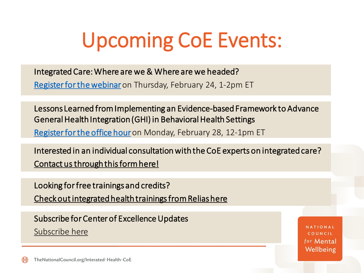# Upcoming CoE Events:

Integrated Care: Where are we & Where are we headed?

[Register for the webinar](https://thenationalcouncil-org.zoom.us/webinar/register/WN_gDPTjYtLQZm4udMjd4skPw)on Thursday, February 24, 1-2pm ET

Lessons Learned from Implementing an Evidence-based Framework to Advance General Health Integration (GHI) in Behavioral Health Settings [Register for the office hour](https://thenationalcouncil-org.zoom.us/webinar/register/WN_ayAWXo9TQ3Oa9s79v2RR8g) on Monday, February 28, 12-1pm ET

Interested in an individual consultation with the CoE experts on integrated care? [Contact us through this form here!](https://www.thenationalcouncil.org/integrated-health-coe/request-assistance/)

Looking for free trainings and credits? [Check out integrated health trainings from Relias here](https://www.thenationalcouncil.org/integrated-health-coe/training-events/)

Subscribe for Center of Excellence Updates [Subscribe here](https://www.thenationalcouncil.org/integrated-health-coe/subscribe/)